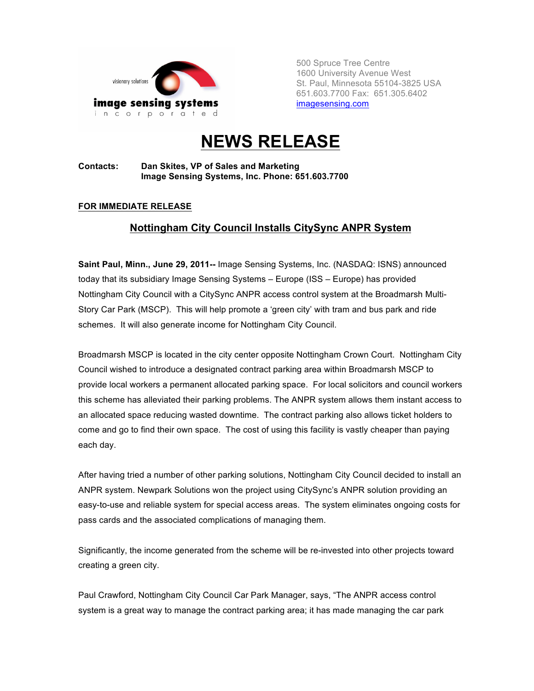

500 Spruce Tree Centre 1600 University Avenue West St. Paul, Minnesota 55104-3825 USA 651.603.7700 Fax: 651.305.6402 imagesensing.com

# **NEWS RELEASE**

### **Contacts: Dan Skites, VP of Sales and Marketing Image Sensing Systems, Inc. Phone: 651.603.7700**

## **FOR IMMEDIATE RELEASE**

# **Nottingham City Council Installs CitySync ANPR System**

**Saint Paul, Minn., June 29, 2011--** Image Sensing Systems, Inc. (NASDAQ: ISNS) announced today that its subsidiary Image Sensing Systems – Europe (ISS – Europe) has provided Nottingham City Council with a CitySync ANPR access control system at the Broadmarsh Multi-Story Car Park (MSCP). This will help promote a 'green city' with tram and bus park and ride schemes. It will also generate income for Nottingham City Council.

Broadmarsh MSCP is located in the city center opposite Nottingham Crown Court. Nottingham City Council wished to introduce a designated contract parking area within Broadmarsh MSCP to provide local workers a permanent allocated parking space. For local solicitors and council workers this scheme has alleviated their parking problems. The ANPR system allows them instant access to an allocated space reducing wasted downtime. The contract parking also allows ticket holders to come and go to find their own space. The cost of using this facility is vastly cheaper than paying each day.

After having tried a number of other parking solutions, Nottingham City Council decided to install an ANPR system. Newpark Solutions won the project using CitySync's ANPR solution providing an easy-to-use and reliable system for special access areas. The system eliminates ongoing costs for pass cards and the associated complications of managing them.

Significantly, the income generated from the scheme will be re-invested into other projects toward creating a green city.

Paul Crawford, Nottingham City Council Car Park Manager, says, "The ANPR access control system is a great way to manage the contract parking area; it has made managing the car park